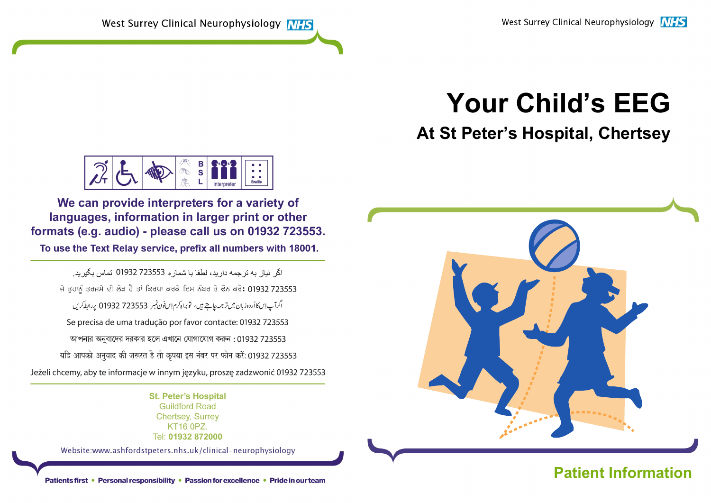# Your Child's EEG

## At St Peter's Hospital, Chertsey



We can provide interpreters for a variety of languages, information in larger print or other formats (e.g. audio) - please call us on 01932 723553.

To use the Text Relay service, prefix all numbers with 18001.

اگر نباز به تر جمه دار بد، لطفا با شمار ه 723553 01932 تماس بگیر بد. ਜੇ ਤਹਾਨੂੰ ਤਰਜਮੇ ਦੀ ਲੋੜ ਹੈ ਤਾਂ ਕਿਰਪਾ ਕਰਕੇ ਇਸ ਨੰਬਰ ਤੇ ਫੋਨ ਕਰੋ: 01932 723553 اگرآپ اِس کاأردوزبان میں ترجمہ جاہتے ہیں، توبراہ کرم اِس فون نمبر 723553 01932 پر ابط کریں Se precisa de uma tradução por favor contacte: 01932 723553 আপনার অনুবাদের দরকার হলে এখানে যোগাযোগ করুন: 01932 723553 यदि आपको अनुवाद की ज़रूरत है तो कृपया इस नंबर पर फोन करें: 01932 723553 Jeżeli chcemy, aby te informacje w innym języku, proszę zadzwonić 01932 723553

> **St. Peter's Hospital Guildford Road Chertsev. Surrev KT16 0PZ.** Tel: 01932 872000

Website:www.ashfordstpeters.nhs.uk/clinical-neurophysiology



### Patients first • Personal responsibility • Passion for excellence • Pride in our team **Patient Information**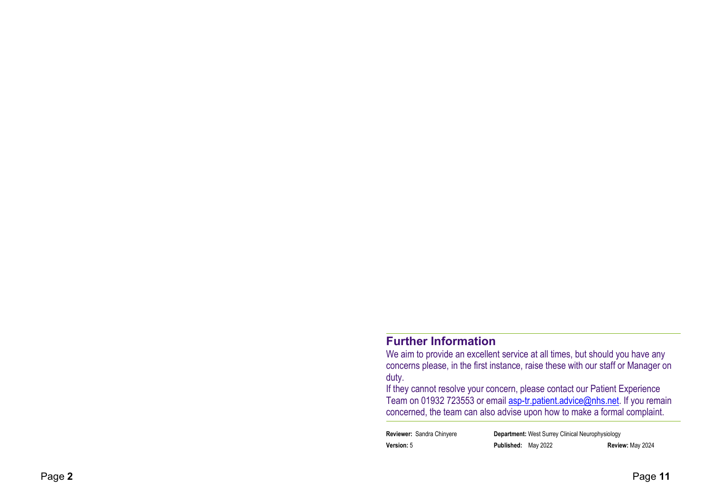#### Further Information

We aim to provide an excellent service at all times, but should you have any concerns please, in the first instance, raise these with our staff or Manager on duty.

If they cannot resolve your concern, please contact our Patient Experience Team on 01932 723553 or email asp-tr.patient.advice@nhs.net. If you remain concerned, the team can also advise upon how to make a formal complaint.

| <b>Reviewer: Sandra Chinyere</b> |                     | <b>Department:</b> West Surrey Clinical Neurophysiology |                  |
|----------------------------------|---------------------|---------------------------------------------------------|------------------|
| <b>Version:</b> 5                | Published: May 2022 |                                                         | Review: May 2024 |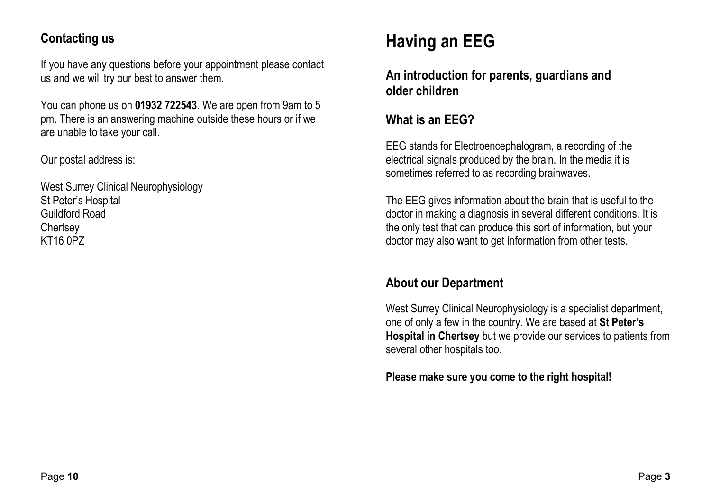#### Contacting us

If you have any questions before your appointment please contact us and we will try our best to answer them.

You can phone us on 01932 722543. We are open from 9am to 5 pm. There is an answering machine outside these hours or if we are unable to take your call.

Our postal address is:

West Surrey Clinical Neurophysiology St Peter's Hospital Guildford Road **Chertsey** KT16 0PZ

# Having an EEG

An introduction for parents, guardians and older children

#### What is an EEG?

EEG stands for Electroencephalogram, a recording of the electrical signals produced by the brain. In the media it is sometimes referred to as recording brainwaves.

The EEG gives information about the brain that is useful to the doctor in making a diagnosis in several different conditions. It is the only test that can produce this sort of information, but your doctor may also want to get information from other tests.

#### About our Department

West Surrey Clinical Neurophysiology is a specialist department, one of only a few in the country. We are based at St Peter's Hospital in Chertsey but we provide our services to patients from several other hospitals too.

Please make sure you come to the right hospital!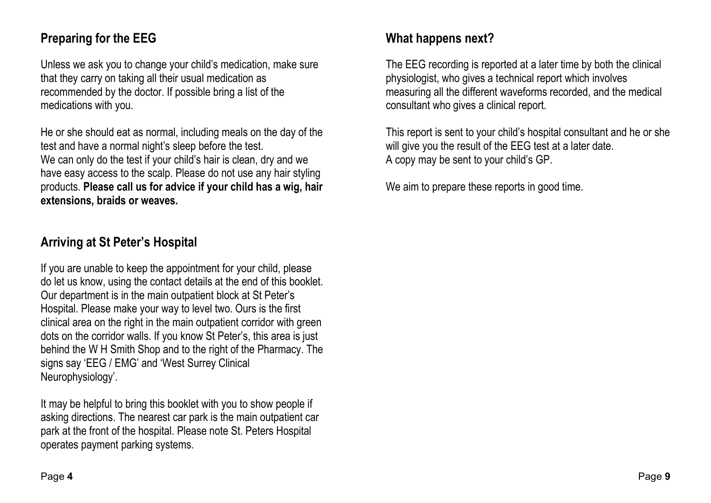#### Preparing for the EEG

Unless we ask you to change your child's medication, make sure that they carry on taking all their usual medication as recommended by the doctor. If possible bring a list of the medications with you.

He or she should eat as normal, including meals on the day of the test and have a normal night's sleep before the test. We can only do the test if your child's hair is clean, dry and we have easy access to the scalp. Please do not use any hair styling products. Please call us for advice if your child has a wig, hair extensions, braids or weaves.

#### Arriving at St Peter's Hospital

If you are unable to keep the appointment for your child, please do let us know, using the contact details at the end of this booklet. Our department is in the main outpatient block at St Peter's Hospital. Please make your way to level two. Ours is the first clinical area on the right in the main outpatient corridor with green dots on the corridor walls. If you know St Peter's, this area is just behind the W H Smith Shop and to the right of the Pharmacy. The signs say 'EEG / EMG' and 'West Surrey Clinical Neurophysiology'.

It may be helpful to bring this booklet with you to show people if asking directions. The nearest car park is the main outpatient car park at the front of the hospital. Please note St. Peters Hospital operates payment parking systems.

#### What happens next?

The EEG recording is reported at a later time by both the clinical physiologist, who gives a technical report which involves measuring all the different waveforms recorded, and the medical consultant who gives a clinical report.

This report is sent to your child's hospital consultant and he or she will give you the result of the EEG test at a later date. A copy may be sent to your child's GP.

We aim to prepare these reports in good time.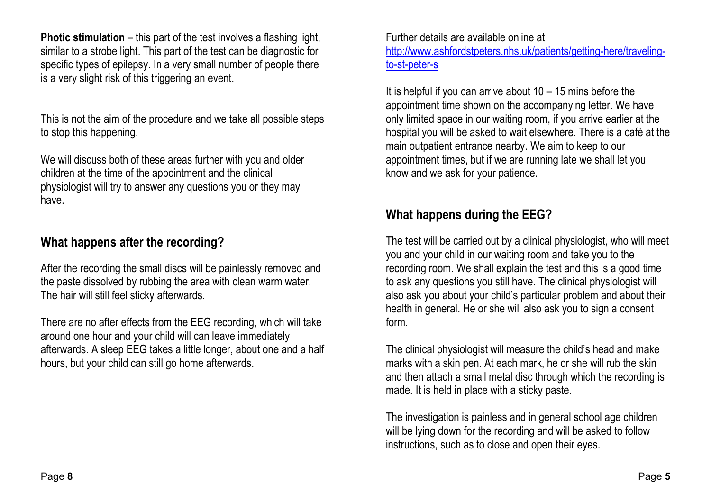**Photic stimulation** – this part of the test involves a flashing light, similar to a strobe light. This part of the test can be diagnostic for specific types of epilepsy. In a very small number of people there is a very slight risk of this triggering an event.

This is not the aim of the procedure and we take all possible steps to stop this happening.

We will discuss both of these areas further with you and older children at the time of the appointment and the clinical physiologist will try to answer any questions you or they may have.

#### What happens after the recording?

After the recording the small discs will be painlessly removed and the paste dissolved by rubbing the area with clean warm water. The hair will still feel sticky afterwards.

There are no after effects from the EEG recording, which will take around one hour and your child will can leave immediately afterwards. A sleep EEG takes a little longer, about one and a half hours, but your child can still go home afterwards.

Further details are available online at http://www.ashfordstpeters.nhs.uk/patients/getting-here/travelingto-st-peter-s

It is helpful if you can arrive about  $10 - 15$  mins before the appointment time shown on the accompanying letter. We have only limited space in our waiting room, if you arrive earlier at the hospital you will be asked to wait elsewhere. There is a café at the main outpatient entrance nearby. We aim to keep to our appointment times, but if we are running late we shall let you know and we ask for your patience.

#### What happens during the EEG?

The test will be carried out by a clinical physiologist, who will meet you and your child in our waiting room and take you to the recording room. We shall explain the test and this is a good time to ask any questions you still have. The clinical physiologist will also ask you about your child's particular problem and about their health in general. He or she will also ask you to sign a consent form.

The clinical physiologist will measure the child's head and make marks with a skin pen. At each mark, he or she will rub the skin and then attach a small metal disc through which the recording is made. It is held in place with a sticky paste.

The investigation is painless and in general school age children will be lying down for the recording and will be asked to follow instructions, such as to close and open their eyes.